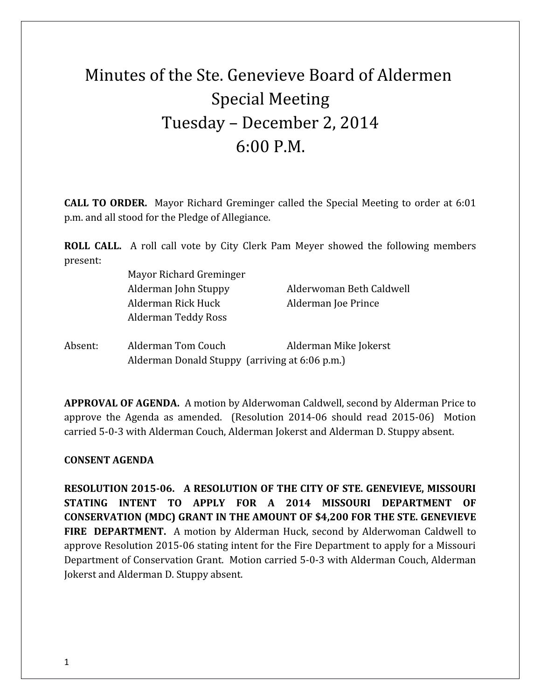## Minutes of the Ste. Genevieve Board of Aldermen Special Meeting Tuesday – December 2, 2014 6:00 P.M.

**CALL TO ORDER.** Mayor Richard Greminger called the Special Meeting to order at 6:01 p.m. and all stood for the Pledge of Allegiance.

**ROLL CALL.** A roll call vote by City Clerk Pam Meyer showed the following members present:

> Mayor Richard Greminger Alderman Rick Huck Alderman Joe Prince Alderman Teddy Ross

Alderman John Stuppy Alderwoman Beth Caldwell

Absent: Alderman Tom Couch Alderman Mike Jokerst Alderman Donald Stuppy (arriving at 6:06 p.m.)

**APPROVAL OF AGENDA.** A motion by Alderwoman Caldwell, second by Alderman Price to approve the Agenda as amended. (Resolution 2014-06 should read 2015-06) Motion carried 5-0-3 with Alderman Couch, Alderman Jokerst and Alderman D. Stuppy absent.

## **CONSENT AGENDA**

**RESOLUTION 2015-06. A RESOLUTION OF THE CITY OF STE. GENEVIEVE, MISSOURI STATING INTENT TO APPLY FOR A 2014 MISSOURI DEPARTMENT OF CONSERVATION (MDC) GRANT IN THE AMOUNT OF \$4,200 FOR THE STE. GENEVIEVE FIRE DEPARTMENT.** A motion by Alderman Huck, second by Alderwoman Caldwell to approve Resolution 2015-06 stating intent for the Fire Department to apply for a Missouri Department of Conservation Grant. Motion carried 5-0-3 with Alderman Couch, Alderman Jokerst and Alderman D. Stuppy absent.